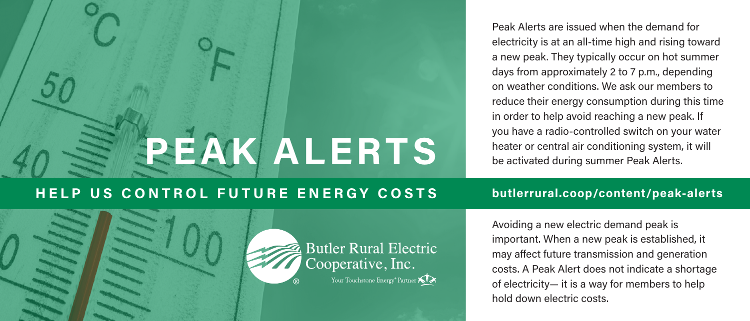# **PEAK ALERTS**

Peak Alerts are issued when the demand for electricity is at an all-time high and rising toward a new peak. They typically occur on hot summer days from approximately 2 to 7 p.m., depending on weather conditions. We ask our members to reduce their energy consumption during this time in order to help avoid reaching a new peak. If you have a radio-controlled switch on your water heater or central air conditioning system, it will be activated during summer Peak Alerts.

# **HELP US CONTROL FUTURE ENERGY COSTS butlerrural.coop/content/peak-alerts**



Avoiding a new electric demand peak is important. When a new peak is established, it may affect future transmission and generation costs. A Peak Alert does not indicate a shortage of electricity— it is a way for members to help hold down electric costs.